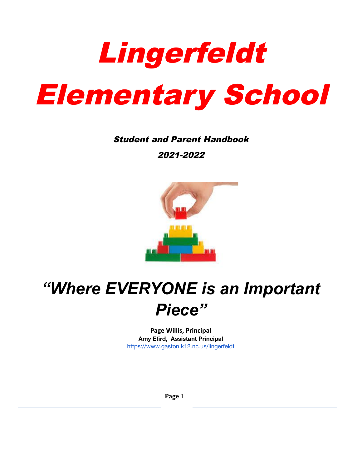

# Elementary School

# Student and Parent Handbook

2021-2022



# *"Where EVERYONE is an Important Piece"*

**Page Willis, Principal Amy Efird, Assistant Principal** <https://www.gaston.k12.nc.us/lingerfeldt>

**Page** 1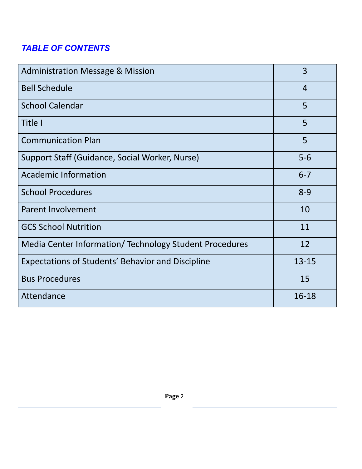# *TABLE OF CONTENTS*

| <b>Administration Message &amp; Mission</b>              | 3              |
|----------------------------------------------------------|----------------|
| <b>Bell Schedule</b>                                     | $\overline{4}$ |
| <b>School Calendar</b>                                   | 5              |
| Title I                                                  | 5              |
| <b>Communication Plan</b>                                | 5              |
| Support Staff (Guidance, Social Worker, Nurse)           | $5-6$          |
| <b>Academic Information</b>                              | $6 - 7$        |
| <b>School Procedures</b>                                 | $8 - 9$        |
| <b>Parent Involvement</b>                                | 10             |
| <b>GCS School Nutrition</b>                              | 11             |
| Media Center Information/ Technology Student Procedures  | 12             |
| <b>Expectations of Students' Behavior and Discipline</b> | $13 - 15$      |
| <b>Bus Procedures</b>                                    | 15             |
| Attendance                                               | $16 - 18$      |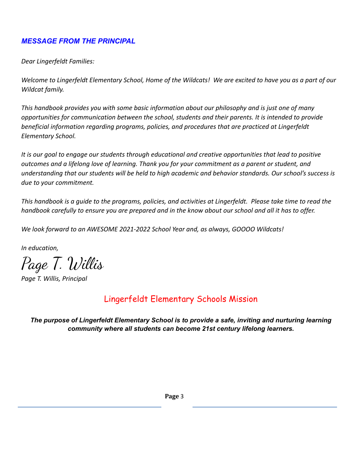# *MESSAGE FROM THE PRINCIPAL*

*Dear Lingerfeldt Families:*

*Welcome to Lingerfeldt Elementary School, Home of the Wildcats! We are excited to have you as a part of our Wildcat family.*

*This handbook provides you with some basic information about our philosophy and is just one of many opportunities for communication between the school, students and their parents. It is intended to provide beneficial information regarding programs, policies, and procedures that are practiced at Lingerfeldt Elementary School.*

*It is our goal to engage our students through educational and creative opportunities that lead to positive outcomes and a lifelong love of learning. Thank you for your commitment as a parent or student, and understanding that our students will be held to high academic and behavior standards. Our school's success is due to your commitment.*

*This handbook is a guide to the programs, policies, and activities at Lingerfeldt. Please take time to read the handbook carefully to ensure you are prepared and in the know about our school and all it has to offer.*

*We look forward to an AWESOME 2021-2022 School Year and, as always, GOOOO Wildcats!*

*In education,*

Page T. Willis

*Page T. Willis, Principal*

# Lingerfeldt Elementary Schools Mission

*The purpose of Lingerfeldt Elementary School is to provide a safe, inviting and nurturing learning community where all students can become 21st century lifelong learners.*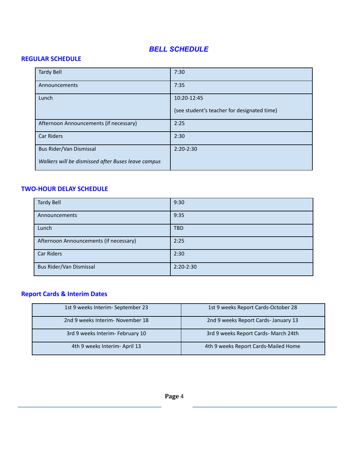# *BELL SCHEDULE*

#### **REGULAR SCHEDULE**

| <b>Tardy Bell</b>                                  | 7:30                                        |
|----------------------------------------------------|---------------------------------------------|
| Announcements                                      | 7:35                                        |
| Lunch                                              | 10:20-12:45                                 |
|                                                    | (see student's teacher for designated time) |
| Afternoon Announcements (if necessary)             | 2:25                                        |
| <b>Car Riders</b>                                  | 2:30                                        |
| Bus Rider/Van Dismissal                            | $2:20-2:30$                                 |
| Walkers will be dismissed after Buses leave campus |                                             |

#### **TWO-HOUR DELAY SCHEDULE**

| <b>Tardy Bell</b>                      | 9:30        |
|----------------------------------------|-------------|
| Announcements                          | 9:35        |
| Lunch                                  | <b>TBD</b>  |
| Afternoon Announcements (if necessary) | 2:25        |
| Car Riders                             | 2:30        |
| Bus Rider/Van Dismissal                | $2:20-2:30$ |

## **Report Cards & Interim Dates**

| 1st 9 weeks Interim- September 23 | 1st 9 weeks Report Cards-October 28  |
|-----------------------------------|--------------------------------------|
| 2nd 9 weeks Interim- November 18  | 2nd 9 weeks Report Cards- January 13 |
| 3rd 9 weeks Interim- February 10  | 3rd 9 weeks Report Cards- March 24th |
| 4th 9 weeks Interim- April 13     | 4th 9 weeks Report Cards-Mailed Home |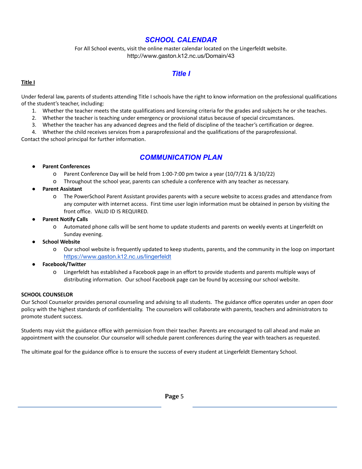# *SCHOOL CALENDAR*

For All School events, visit the online master calendar located on the Lingerfeldt website. http://www.gaston.k12.nc.us/Domain/43

# *Title I*

#### **Title I**

Under federal law, parents of students attending Title I schools have the right to know information on the professional qualifications of the student's teacher, including:

- 1. Whether the teacher meets the state qualifications and licensing criteria for the grades and subjects he or she teaches.
- 2. Whether the teacher is teaching under emergency or provisional status because of special circumstances.
- 3. Whether the teacher has any advanced degrees and the field of discipline of the teacher's certification or degree.
- 4. Whether the child receives services from a paraprofessional and the qualifications of the paraprofessional.

Contact the school principal for further information.

### *COMMUNICATION PLAN*

#### **● Parent Conferences**

- o Parent Conference Day will be held from 1:00-7:00 pm twice a year (10/7/21 & 3/10/22)
- o Throughout the school year, parents can schedule a conference with any teacher as necessary.
- **● Parent Assistant**
	- o The PowerSchool Parent Assistant provides parents with a secure website to access grades and attendance from any computer with internet access. First time user login information must be obtained in person by visiting the front office. VALID ID IS REQUIRED.
- **● Parent Notify Calls**
	- o Automated phone calls will be sent home to update students and parents on weekly events at Lingerfeldt on Sunday evening.
- **● School Website**
	- o Our school website is frequently updated to keep students, parents, and the community in the loop on important <https://www.gaston.k12.nc.us/lingerfeldt>
- **● Facebook/Twitter**
	- o Lingerfeldt has established a Facebook page in an effort to provide students and parents multiple ways of distributing information. Our school Facebook page can be found by accessing our school website.

#### **SCHOOL COUNSELOR**

Our School Counselor provides personal counseling and advising to all students. The guidance office operates under an open door policy with the highest standards of confidentiality. The counselors will collaborate with parents, teachers and administrators to promote student success.

Students may visit the guidance office with permission from their teacher. Parents are encouraged to call ahead and make an appointment with the counselor. Our counselor will schedule parent conferences during the year with teachers as requested.

The ultimate goal for the guidance office is to ensure the success of every student at Lingerfeldt Elementary School.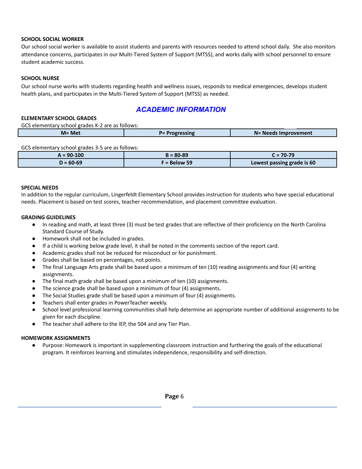#### **SCHOOL SOCIAL WORKER**

Our school social worker is available to assist students and parents with resources needed to attend school daily. She also monitors attendance concerns, participates in our Multi-Tiered System of Support (MTSS), and works daily with school personnel to ensure student academic success.

#### **SCHOOL NURSE**

Our school nurse works with students regarding health and wellness issues, responds to medical emergencies, develops student health plans, and participates in the Multi-Tiered System of Support (MTSS) as needed.

#### *ACADEMIC INFORMATION*

#### **ELEMENTARY SCHOOL GRADES**

| GCS elementary school grades K-2 are as follows: |                |                      |  |
|--------------------------------------------------|----------------|----------------------|--|
| $M = Met$                                        | P= Progressing | N= Needs Improvement |  |

GCS elementary school grades 3-5 are as follows:

| $A = 90-100$ | $B = 80 - 89$ | C = 70-79                  |
|--------------|---------------|----------------------------|
| D = 60-69    | F = Below 59  | Lowest passing grade is 60 |

#### **SPECIAL NEEDS**

In addition to the regular curriculum, Lingerfeldt Elementary School provides instruction for students who have special educational needs. Placement is based on test scores, teacher recommendation, and placement committee evaluation.

#### **GRADING GUIDELINES**

- In reading and math, at least three (3) must be test grades that are reflective of their proficiency on the North Carolina Standard Course of Study.
- Homework shall not be included in grades.
- If a child is working below grade level, it shall be noted in the comments section of the report card.
- Academic grades shall not be reduced for misconduct or for punishment.
- Grades shall be based on percentages, not points.
- The final Language Arts grade shall be based upon a minimum of ten (10) reading assignments and four (4) writing assignments.
- The final math grade shall be based upon a minimum of ten (10) assignments.
- The science grade shall be based upon a minimum of four (4) assignments.
- The Social Studies grade shall be based upon a minimum of four (4) assignments.
- Teachers shall enter grades in PowerTeacher weekly.
- School level professional learning communities shall help determine an appropriate number of additional assignments to be given for each discipline.
- The teacher shall adhere to the IEP, the 504 and any Tier Plan.

#### **HOMEWORK ASSIGNMENTS**

Purpose: Homework is important in supplementing classroom instruction and furthering the goals of the educational program. It reinforces learning and stimulates independence, responsibility and self-direction.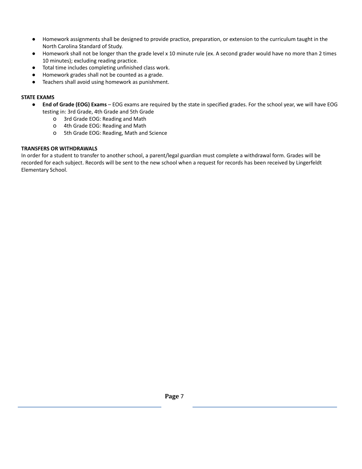- Homework assignments shall be designed to provide practice, preparation, or extension to the curriculum taught in the North Carolina Standard of Study.
- Homework shall not be longer than the grade level x 10 minute rule (ex. A second grader would have no more than 2 times 10 minutes); excluding reading practice.
- Total time includes completing unfinished class work.
- Homework grades shall not be counted as a grade.
- Teachers shall avoid using homework as punishment.

#### **STATE EXAMS**

- **End of Grade (EOG) Exams** EOG exams are required by the state in specified grades. For the school year, we will have EOG testing in: 3rd Grade, 4th Grade and 5th Grade
	- o 3rd Grade EOG: Reading and Math
	- o 4th Grade EOG: Reading and Math
	- o 5th Grade EOG: Reading, Math and Science

#### **TRANSFERS OR WITHDRAWALS**

In order for a student to transfer to another school, a parent/legal guardian must complete a withdrawal form. Grades will be recorded for each subject. Records will be sent to the new school when a request for records has been received by Lingerfeldt Elementary School.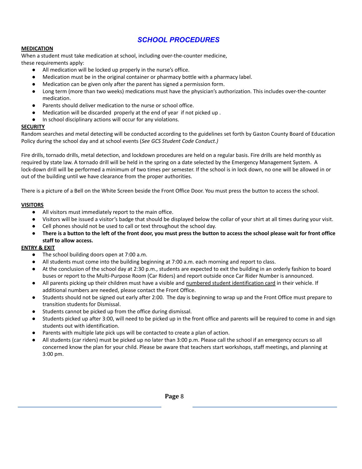# *SCHOOL PROCEDURES*

#### **MEDICATION**

When a student must take medication at school, including over-the-counter medicine, these requirements apply:

- All medication will be locked up properly in the nurse's office.
- Medication must be in the original container or pharmacy bottle with a pharmacy label.
- Medication can be given only after the parent has signed a permission form.
- Long term (more than two weeks) medications must have the physician's authorization. This includes over-the-counter medication.
- Parents should deliver medication to the nurse or school office.
- Medication will be discarded properly at the end of year if not picked up .
- In school disciplinary actions will occur for any violations.

#### **SECURITY**

Random searches and metal detecting will be conducted according to the guidelines set forth by Gaston County Board of Education Policy during the school day and at school events (*See GCS Student Code Conduct.)*

Fire drills, tornado drills, metal detection, and lockdown procedures are held on a regular basis. Fire drills are held monthly as required by state law. A tornado drill will be held in the spring on a date selected by the Emergency Management System. A lock-down drill will be performed a minimum of two times per semester. If the school is in lock down, no one will be allowed in or out of the building until we have clearance from the proper authorities.

There is a picture of a Bell on the White Screen beside the Front Office Door. You must press the button to access the school.

#### **VISITORS**

- All visitors must immediately report to the main office.
- Visitors will be issued a visitor's badge that should be displayed below the collar of your shirt at all times during your visit.
- Cell phones should not be used to call or text throughout the school day.
- There is a button to the left of the front door, you must press the button to access the school please wait for front office **staff to allow access.**

#### **ENTRY & EXIT**

- The school building doors open at 7:00 a.m.
- All students must come into the building beginning at 7:00 a.m. each morning and report to class.
- At the conclusion of the school day at 2:30 p.m., students are expected to exit the building in an orderly fashion to board buses or report to the Multi-Purpose Room (Car Riders) and report outside once Car Rider Number is announced.
- All parents picking up their children must have a visible and numbered student identification card in their vehicle. If additional numbers are needed, please contact the Front Office.
- Students should not be signed out early after 2:00. The day is beginning to wrap up and the Front Office must prepare to transition students for Dismissal.
- Students cannot be picked up from the office during dismissal.
- Students picked up after 3:00, will need to be picked up in the front office and parents will be required to come in and sign students out with identification.
- Parents with multiple late pick ups will be contacted to create a plan of action.
- All students (car riders) must be picked up no later than 3:00 p.m. Please call the school if an emergency occurs so all concerned know the plan for your child. Please be aware that teachers start workshops, staff meetings, and planning at 3:00 pm.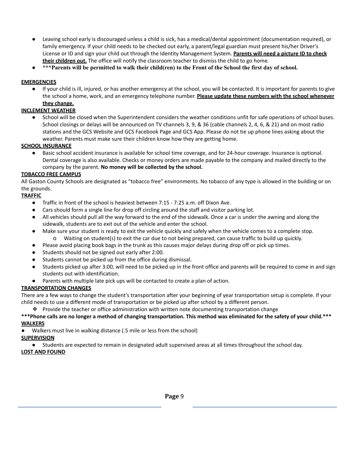- Leaving school early is discouraged unless a child is sick, has a medical/dental appointment (documentation required), or family emergency. If your child needs to be checked out early, a parent/legal guardian must present his/her Driver's License or ID and sign your child out through the Identity Management System. **Parents will need a picture ID to check their children out.** The office will notify the classroom teacher to dismiss the child to go home.
- \*\*\* Parents will be permitted to walk their child(ren) to the Front of the School the first day of school.

#### **EMERGENCIES**

● If your child is ill, injured, or has another emergency at the school, you will be contacted. It is important for parents to give the school a home, work, and an emergency telephone number. **Please update these numbers with the school whenever they change.**

#### **INCLEMENT WEATHER**

School will be closed when the Superintendent considers the weather conditions unfit for safe operations of school buses. School closings or delays will be announced on TV channels 3, 9, & 36 (cable channels 2, 4, 6, & 21) and on most radio stations and the GCS Website and GCS Facebook Page and GCS App. Please do not tie up phone lines asking about the weather. Parents must make sure their children know how they are getting home.

#### **SCHOOL INSURANCE**

Basic school accident insurance is available for school time coverage, and for 24-hour coverage. Insurance is optional. Dental coverage is also available. Checks or money orders are made payable to the company and mailed directly to the company by the parent. **No money will be collected by the school.**

#### **TOBACCO FREE CAMPUS**

All Gaston County Schools are designated as "tobacco free" environments. No tobacco of any type is allowed in the building or on the grounds.

#### **TRAFFIC**

- Traffic in front of the school is heaviest between 7:15 7:25 a.m. off Dixon Ave.
- Cars should form a single line for drop off circling around the staff and visitor parking lot.
- All vehicles should pull all the way forward to the end of the sidewalk. Once a car is under the awning and along the sidewalk, students are to exit out of the vehicle and enter the school.
- Make sure your student is ready to exit the vehicle quickly and safely when the vehicle comes to a complete stop. o Waiting on student(s) to exit the car due to not being prepared, can cause traffic to build up quickly.
- Please avoid placing book bags in the trunk as this causes major delays during drop off or pick up times.
- Students should not be signed out early after 2:00.
- Students cannot be picked up from the office during dismissal.
- Students picked up after 3:00, will need to be picked up in the front office and parents will be required to come in and sign students out with identification.
- Parents with multiple late pick ups will be contacted to create a plan of action.

#### **TRANSPORTATION CHANGES**

There are a few ways to change the student's transportation after your beginning of year transportation setup is complete. If your child needs to use a different mode of transportation or be picked up after school by a different person.

❖ Provide the teacher or office administration with written note documenting transportation change

#### \*\*\*Phone calls are no longer a method of changing transportation. This method was eliminated for the safety of your child.\*\*\* **WALKERS**

● Walkers must live in walking distance (.5 mile or less from the school)

#### **SUPERVISION**

● Students are expected to remain in designated adult supervised areas at all times throughout the school day.

#### **LOST AND FOUND**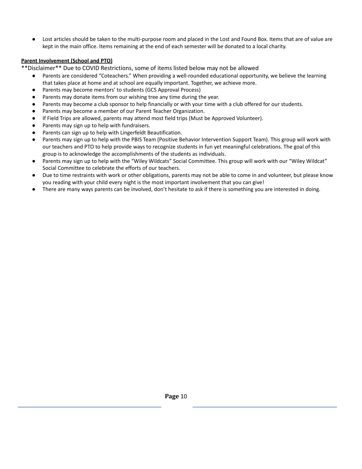● Lost articles should be taken to the multi-purpose room and placed in the Lost and Found Box. Items that are of value are kept in the main office. Items remaining at the end of each semester will be donated to a local charity.

#### **Parent Involvement (School and PTO)**

\*\*Disclaimer\*\* Due to COVID Restrictions, some of items listed below may not be allowed

- Parents are considered "Coteachers." When providing a well-rounded educational opportunity, we believe the learning that takes place at home and at school are equally important. Together, we achieve more.
- Parents may become mentors' to students (GCS Approval Process)
- Parents may donate items from our wishing tree any time during the year.
- Parents may become a club sponsor to help financially or with your time with a club offered for our students.
- Parents may become a member of our Parent Teacher Organization.
- If Field Trips are allowed, parents may attend most field trips (Must be Approved Volunteer).
- Parents may sign up to help with fundraisers.
- Parents can sign up to help with Lingerfeldt Beautification.
- Parents may sign up to help with the PBIS Team (Positive Behavior Intervention Support Team). This group will work with our teachers and PTO to help provide ways to recognize students in fun yet meaningful celebrations. The goal of this group is to acknowledge the accomplishments of the students as individuals.
- Parents may sign up to help with the "Wiley Wildcats" Social Committee. This group will work with our "Wiley Wildcat" Social Committee to celebrate the efforts of our teachers.
- Due to time restraints with work or other obligations, parents may not be able to come in and volunteer, but please know you reading with your child every night is the most important involvement that you can give!
- There are many ways parents can be involved, don't hesitate to ask if there is something you are interested in doing.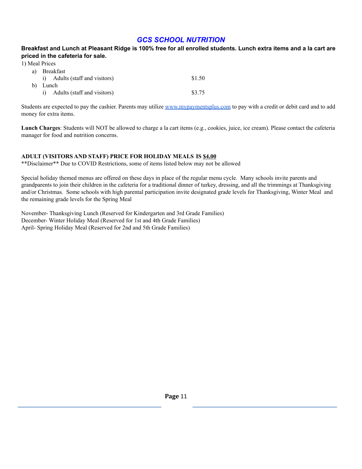#### *GCS SCHOOL NUTRITION*

#### Breakfast and Lunch at Pleasant Ridge is 100% free for all enrolled students. Lunch extra items and a la cart are **priced in the cafeteria for sale.**

1) Meal Prices

| a) Breakfast                   |        |
|--------------------------------|--------|
| i) Adults (staff and visitors) | \$1.50 |
| b) Lunch                       |        |
| i) Adults (staff and visitors) | \$3.75 |

Students are expected to pay the cashier. Parents may utilize [www.mypaymentsplus.com](http://www.mypaymentsplus.com) to pay with a credit or debit card and to add money for extra items.

**Lunch Charges**: Students will NOT be allowed to charge a la cart items (e.g., cookies, juice, ice cream). Please contact the cafeteria manager for food and nutrition concerns.

#### **ADULT (VISITORS AND STAFF) PRICE FOR HOLIDAY MEALS IS \$4.00**

\*\*Disclaimer\*\* Due to COVID Restrictions, some of items listed below may not be allowed

Special holiday themed menus are offered on these days in place of the regular menu cycle. Many schools invite parents and grandparents to join their children in the cafeteria for a traditional dinner of turkey, dressing, and all the trimmings at Thanksgiving and/or Christmas. Some schools with high parental participation invite designated grade levels for Thanksgiving, Winter Meal and the remaining grade levels for the Spring Meal

November- Thanksgiving Lunch (Reserved for Kindergarten and 3rd Grade Families) December- Winter Holiday Meal (Reserved for 1st and 4th Grade Families) April- Spring Holiday Meal (Reserved for 2nd and 5th Grade Families)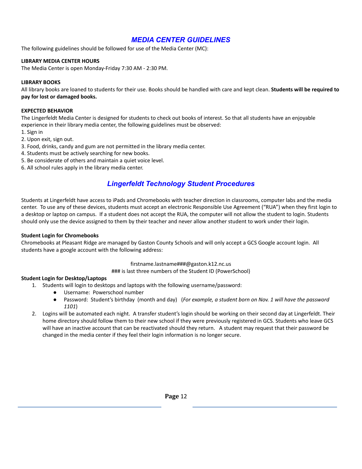# *MEDIA CENTER GUIDELINES*

The following guidelines should be followed for use of the Media Center (MC):

#### **LIBRARY MEDIA CENTER HOURS**

The Media Center is open Monday-Friday 7:30 AM - 2:30 PM.

#### **LIBRARY BOOKS**

All library books are loaned to students for their use. Books should be handled with care and kept clean. **Students will be required to pay for lost or damaged books.**

#### **EXPECTED BEHAVIOR**

The Lingerfeldt Media Center is designed for students to check out books of interest. So that all students have an enjoyable experience in their library media center, the following guidelines must be observed:

- 1. Sign in
- 2. Upon exit, sign out.
- 3. Food, drinks, candy and gum are not permitted in the library media center.
- 4. Students must be actively searching for new books.
- 5. Be considerate of others and maintain a quiet voice level.
- 6. All school rules apply in the library media center.

#### *Lingerfeldt Technology Student Procedures*

Students at Lingerfeldt have access to iPads and Chromebooks with teacher direction in classrooms, computer labs and the media center. To use any of these devices, students must accept an electronic Responsible Use Agreement ("RUA") when they first login to a desktop or laptop on campus. If a student does not accept the RUA, the computer will not allow the student to login. Students should only use the device assigned to them by their teacher and never allow another student to work under their login.

#### **Student Login for Chromebooks**

Chromebooks at Pleasant Ridge are managed by Gaston County Schools and will only accept a GCS Google account login. All students have a google account with the following address:

#### firstname.lastname###@gaston.k12.nc.us

### is last three numbers of the Student ID (PowerSchool)

#### **Student Login for Desktop/Laptops**

- 1. Students will login to desktops and laptops with the following username/password:
	- Username: Powerschool number
	- Password: Student's birthday (month and day) (*For example, a student born on Nov. 1 will have the password 1101*)
- 2. Logins will be automated each night. A transfer student's login should be working on their second day at Lingerfeldt. Their home directory should follow them to their new school if they were previously registered in GCS. Students who leave GCS will have an inactive account that can be reactivated should they return. A student may request that their password be changed in the media center if they feel their login information is no longer secure.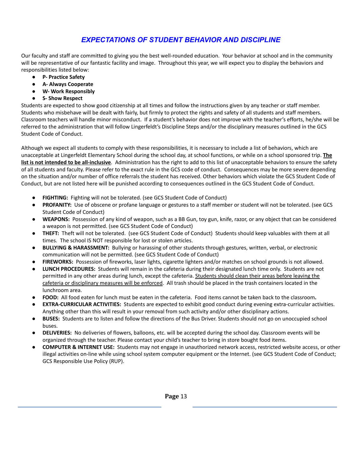# *EXPECTATIONS OF STUDENT BEHAVIOR AND DISCIPLINE*

Our faculty and staff are committed to giving you the best well-rounded education. Your behavior at school and in the community will be representative of our fantastic facility and image. Throughout this year, we will expect you to display the behaviors and responsibilities listed below:

- **● P- Practice Safety**
- **● A- Always Cooperate**
- **● W- Work Responsibly**
- **● S- Show Respect**

Students are expected to show good citizenship at all times and follow the instructions given by any teacher or staff member. Students who misbehave will be dealt with fairly, but firmly to protect the rights and safety of all students and staff members. Classroom teachers will handle minor misconduct. If a student's behavior does not improve with the teacher's efforts, he/she will be referred to the administration that will follow Lingerfeldt's Discipline Steps and/or the disciplinary measures outlined in the GCS Student Code of Conduct.

Although we expect all students to comply with these responsibilities, it is necessary to include a list of behaviors, which are unacceptable at Lingerfeldt Elementary School during the school day, at school functions, or while on a school sponsored trip. **The list is not intended to be all-inclusive**. Administration has the right to add to this list of unacceptable behaviors to ensure the safety of all students and faculty. Please refer to the exact rule in the GCS code of conduct. Consequences may be more severe depending on the situation and/or number of office referrals the student has received. Other behaviors which violate the GCS Student Code of Conduct, but are not listed here will be punished according to consequences outlined in the GCS Student Code of Conduct.

- **FIGHTING:** Fighting will not be tolerated. (see GCS Student Code of Conduct)
- **PROFANITY:** Use of obscene or profane language or gestures to a staff member or student will not be tolerated. (see GCS Student Code of Conduct)
- **WEAPONS:** Possession of any kind of weapon, such as a BB Gun, toy gun, knife, razor, or any object that can be considered a weapon is not permitted. (see GCS Student Code of Conduct)
- **THEFT:** Theft will not be tolerated. (see GCS Student Code of Conduct) Students should keep valuables with them at all times. The school IS NOT responsible for lost or stolen articles.
- **BULLYING & HARASSMENT:** Bullying or harassing of other students through gestures, written, verbal, or electronic communication will not be permitted. (see GCS Student Code of Conduct)
- **● FIREWORKS:** Possession of fireworks, laser lights, cigarette lighters and/or matches on school grounds is not allowed.
- **LUNCH PROCEDURES:** Students will remain in the cafeteria during their designated lunch time only. Students are not permitted in any other areas during lunch, except the cafeteria. Students should clean their areas before leaving the cafeteria or disciplinary measures will be enforced. All trash should be placed in the trash containers located in the lunchroom area.
- **● FOOD:** All food eaten for lunch must be eaten in the cafeteria. Food items cannot be taken back to the classroom**.**
- **EXTRA-CURRICULAR ACTIVITIES:** Students are expected to exhibit good conduct during evening extra-curricular activities. Anything other than this will result in your removal from such activity and/or other disciplinary actions.
- **BUSES:** Students are to listen and follow the directions of the Bus Driver. Students should not go on unoccupied school buses.
- **● DELIVERIES:** No deliveries of flowers, balloons, etc. will be accepted during the school day. Classroom events will be organized through the teacher. Please contact your child's teacher to bring in store bought food items.
- **● COMPUTER & INTERNET USE:** Students may not engage in unauthorized network access, restricted website access, or other illegal activities on-line while using school system computer equipment or the Internet. (see GCS Student Code of Conduct; GCS Responsible Use Policy (RUP).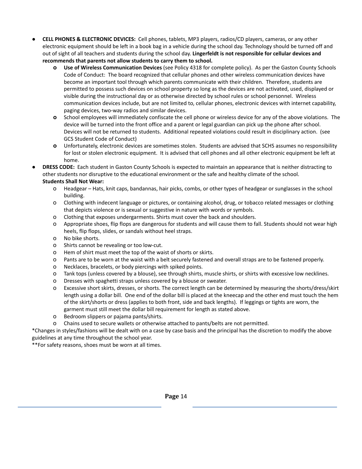- **● CELL PHONES & ELECTRONIC DEVICES:** Cell phones, tablets, MP3 players, radios/CD players, cameras, or any other electronic equipment should be left in a book bag in a vehicle during the school day. Technology should be turned off and out of sight of all teachers and students during the school day. **Lingerfeldt is not responsible for cellular devices and recommends that parents not allow students to carry them to school.**
	- **o Use of Wireless Communication Devices** (see Policy 4318 for complete policy). As per the Gaston County Schools Code of Conduct: The board recognized that cellular phones and other wireless communication devices have become an important tool through which parents communicate with their children. Therefore, students are permitted to possess such devices on school property so long as the devices are not activated, used, displayed or visible during the instructional day or as otherwise directed by school rules or school personnel. Wireless communication devices include, but are not limited to, cellular phones, electronic devices with internet capability, paging devices, two-way radios and similar devices.
	- **o** School employees will immediately confiscate the cell phone or wireless device for any of the above violations. The device will be turned into the front office and a parent or legal guardian can pick up the phone after school. Devices will not be returned to students. Additional repeated violations could result in disciplinary action. (see GCS Student Code of Conduct)
	- **o** Unfortunately, electronic devices are sometimes stolen. Students are advised that SCHS assumes no responsibility for lost or stolen electronic equipment. It is advised that cell phones and all other electronic equipment be left at home.
- **DRESS CODE:** Each student in Gaston County Schools is expected to maintain an appearance that is neither distracting to other students nor disruptive to the educational environment or the safe and healthy climate of the school. **Students Shall Not Wear:**
	- o Headgear Hats, knit caps, bandannas, hair picks, combs, or other types of headgear or sunglasses in the school building.
	- o Clothing with indecent language or pictures, or containing alcohol, drug, or tobacco related messages or clothing that depicts violence or is sexual or suggestive in nature with words or symbols.
	- o Clothing that exposes undergarments. Shirts must cover the back and shoulders.
	- o Appropriate shoes, flip flops are dangerous for students and will cause them to fall. Students should not wear high heels, flip flops, slides, or sandals without heel straps.
	- o No bike shorts.
	- o Shirts cannot be revealing or too low-cut.
	- o Hem of shirt must meet the top of the waist of shorts or skirts.
	- o Pants are to be worn at the waist with a belt securely fastened and overall straps are to be fastened properly.
	- o Necklaces, bracelets, or body piercings with spiked points.
	- o Tank tops (unless covered by a blouse), see through shirts, muscle shirts, or shirts with excessive low necklines.
	- o Dresses with spaghetti straps unless covered by a blouse or sweater.
	- o Excessive short skirts, dresses, or shorts. The correct length can be determined by measuring the shorts/dress/skirt length using a dollar bill. One end of the dollar bill is placed at the kneecap and the other end must touch the hem of the skirt/shorts or dress (applies to both front, side and back lengths). If leggings or tights are worn, the garment must still meet the dollar bill requirement for length as stated above.
	- o Bedroom slippers or pajama pants/shirts.
	- o Chains used to secure wallets or otherwise attached to pants/belts are not permitted.

\*Changes in styles/fashions will be dealt with on a case by case basis and the principal has the discretion to modify the above guidelines at any time throughout the school year.

\*\*For safety reasons, shoes must be worn at all times.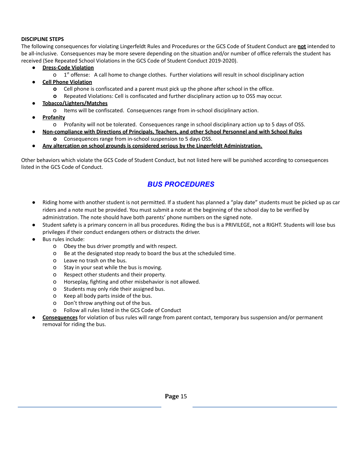#### **DISCIPLINE STEPS**

The following consequences for violating Lingerfeldt Rules and Procedures or the GCS Code of Student Conduct are **not** intended to be all-inclusive. Consequences may be more severe depending on the situation and/or number of office referrals the student has received (See Repeated School Violations in the GCS Code of Student Conduct 2019-2020).

- **Dress-Code Violation** 
	- $0$  1<sup>st</sup> offense: A call home to change clothes. Further violations will result in school disciplinary action
- **● Cell Phone Violation**
	- **o** Cell phone is confiscated and a parent must pick up the phone after school in the office.
	- **o** Repeated Violations: Cell is confiscated and further disciplinary action up to OSS may occur.
- **Tobacco/Lighters/Matches**
	- o Items will be confiscated. Consequences range from in-school disciplinary action.
- **Profanity** 
	- o Profanity will not be tolerated. Consequences range in school disciplinary action up to 5 days of OSS.
- **● Non-compliance with Directions of Principals, Teachers, and other School Personnel and with School Rules**
	- **o** Consequences range from in-school suspension to 5 days OSS.
- **● Any altercation on school grounds is considered serious by the Lingerfeldt Administration.**

Other behaviors which violate the GCS Code of Student Conduct, but not listed here will be punished according to consequences listed in the GCS Code of Conduct.

# *BUS PROCEDURES*

- Riding home with another student is not permitted. If a student has planned a "play date" students must be picked up as car riders and a note must be provided. You must submit a note at the beginning of the school day to be verified by administration. The note should have both parents' phone numbers on the signed note.
- Student safety is a primary concern in all bus procedures. Riding the bus is a PRIVILEGE, not a RIGHT. Students will lose bus privileges if their conduct endangers others or distracts the driver.
- Bus rules include:
	- o Obey the bus driver promptly and with respect.
	- o Be at the designated stop ready to board the bus at the scheduled time.
	- o Leave no trash on the bus.
	- o Stay in your seat while the bus is moving.
	- o Respect other students and their property.
	- o Horseplay, fighting and other misbehavior is not allowed.
	- o Students may only ride their assigned bus.
	- o Keep all body parts inside of the bus.
	- o Don't throw anything out of the bus.
	- o Follow all rules listed in the GCS Code of Conduct
- **Consequences** for violation of bus rules will range from parent contact, temporary bus suspension and/or permanent removal for riding the bus.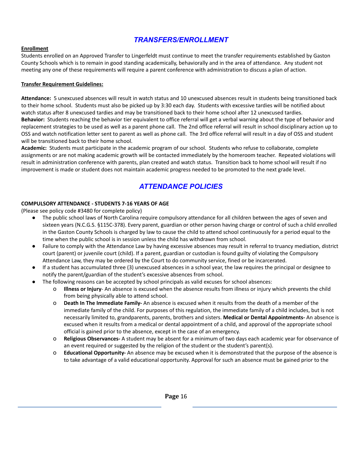# *TRANSFERS/ENROLLMENT*

#### **Enrollment**

Students enrolled on an Approved Transfer to Lingerfeldt must continue to meet the transfer requirements established by Gaston County Schools which is to remain in good standing academically, behaviorally and in the area of attendance. Any student not meeting any one of these requirements will require a parent conference with administration to discuss a plan of action.

#### **Transfer Requirement Guidelines:**

**Attendance:** 5 unexcused absences will result in watch status and 10 unexcused absences result in students being transitioned back to their home school. Students must also be picked up by 3:30 each day. Students with excessive tardies will be notified about watch status after 8 unexcused tardies and may be transitioned back to their home school after 12 unexcused tardies. **Behavior:** Students reaching the behavior tier equivalent to office referral will get a verbal warning about the type of behavior and replacement strategies to be used as well as a parent phone call. The 2nd office referral will result in school disciplinary action up to OSS and watch notification letter sent to parent as well as phone call. The 3rd office referral will result in a day of OSS and student will be transitioned back to their home school.

**Academic:** Students must participate in the academic program of our school. Students who refuse to collaborate, complete assignments or are not making academic growth will be contacted immediately by the homeroom teacher. Repeated violations will result in administration conference with parents, plan created and watch status. Transition back to home school will result if no improvement is made or student does not maintain academic progress needed to be promoted to the next grade level.

# *ATTENDANCE POLICIES*

#### **COMPULSORY ATTENDANCE - STUDENTS 7-16 YEARS OF AGE**

(Please see policy code #3480 for complete policy)

- The public school laws of North Carolina require compulsory attendance for all children between the ages of seven and sixteen years (N.C.G.S. §115C-378). Every parent, guardian or other person having charge or control of such a child enrolled in the Gaston County Schools is charged by law to cause the child to attend school continuously for a period equal to the time when the public school is in session unless the child has withdrawn from school.
- Failure to comply with the Attendance Law by having excessive absences may result in referral to truancy mediation, district court (parent) or juvenile court (child). If a parent, guardian or custodian is found guilty of violating the Compulsory Attendance Law, they may be ordered by the Court to do community service, fined or be incarcerated.
- If a student has accumulated three (3) unexcused absences in a school year, the law requires the principal or designee to notify the parent/guardian of the student's excessive absences from school.
	- The following reasons can be accepted by school principals as valid excuses for school absences:
		- o **Illness or Injury** An absence is excused when the absence results from illness or injury which prevents the child from being physically able to attend school.
		- o **Death In The Immediate Family-** An absence is excused when it results from the death of a member of the immediate family of the child. For purposes of this regulation, the immediate family of a child includes, but is not necessarily limited to, grandparents, parents, brothers and sisters. **Medical or Dental Appointments-** An absence is excused when it results from a medical or dental appointment of a child, and approval of the appropriate school official is gained prior to the absence, except in the case of an emergency.
		- o **Religious Observances-** A student may be absent for a minimum of two days each academic year for observance of an event required or suggested by the religion of the student or the student's parent(s).
		- o **Educational Opportunity-** An absence may be excused when it is demonstrated that the purpose of the absence is to take advantage of a valid educational opportunity. Approval for such an absence must be gained prior to the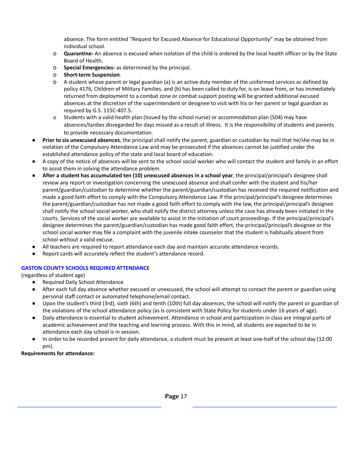absence. The form entitled "Request for Excused Absence for Educational Opportunity" may be obtained from individual school.

- o **Quarantine-** An absence is excused when isolation of the child is ordered by the local health officer or by the State Board of Health.
- o **Special Emergencies-** as determined by the principal.
- o **Short-term Suspension**.
- o A student whose parent or legal guardian (a) is an active duty member of the uniformed services as defined by policy 4176, Children of Military Families, and (b) has been called to duty for, is on leave from, or has immediately returned from deployment to a combat zone or combat support posting will be granted additional excused absences at the discretion of the superintendent or designee to visit with his or her parent or legal guardian as required by G.S. 115C-407.5.
- o Students with a valid health plan (Issued by the school nurse) or accommodation plan (504) may have absences/tardies disregarded for days missed as a result of illness. It is the responsibility of students and parents to provide necessary documentation.
- **Prior to six unexcused absences**, the principal shall notify the parent, guardian or custodian by mail that he/she may be in violation of the Compulsory Attendance Law and may be prosecuted if the absences cannot be justified under the established attendance policy of the state and local board of education.
- A copy of the notice of absences will be sent to the school social worker who will contact the student and family in an effort to assist them in solving the attendance problem.
- **After a student has accumulated ten (10) unexcused absences in a school year**, the principal/principal's designee shall review any report or investigation concerning the unexcused absence and shall confer with the student and his/her parent/guardian/custodian to determine whether the parent/guardian/custodian has received the required notification and made a good faith effort to comply with the Compulsory Attendance Law. If the principal/principal's designee determines the parent/guardian/custodian has not made a good faith effort to comply with the law, the principal/principal's designee shall notify the school social worker, who shall notify the district attorney unless the case has already been initiated in the courts. Services of the social worker are available to assist in the initiation of court proceedings. If the principal/principal's designee determines the parent/guardian/custodian has made good faith effort, the principal/principal's designee or the school social worker may file a complaint with the juvenile intake counselor that the student is habitually absent from school without a valid excuse.
- All teachers are required to report attendance each day and maintain accurate attendance records.
- Report cards will accurately reflect the student's attendance record.

#### **GASTON COUNTY SCHOOLS REQUIRED ATTENDANCE**

(regardless of student age)

- Required Daily School Attendance
- After each full day absence whether excused or unexcused, the school will attempt to contact the parent or guardian using personal staff contact or automated telephone/email contact.
- Upon the student's third (3rd), sixth (6th) and tenth (10th) full day absences, the school will notify the parent or guardian of the violations of the school attendance policy (as is consistent with State Policy for students under 16 years of age).
- Daily attendance is essential to student achievement. Attendance in school and participation in class are integral parts of academic achievement and the teaching and learning process. With this in mind, all students are expected to be in attendance each day school is in session.
- In order to be recorded present for daily attendance, a student must be present at least one-half of the school day (12:00 pm).

#### **Requirements for attendance:**